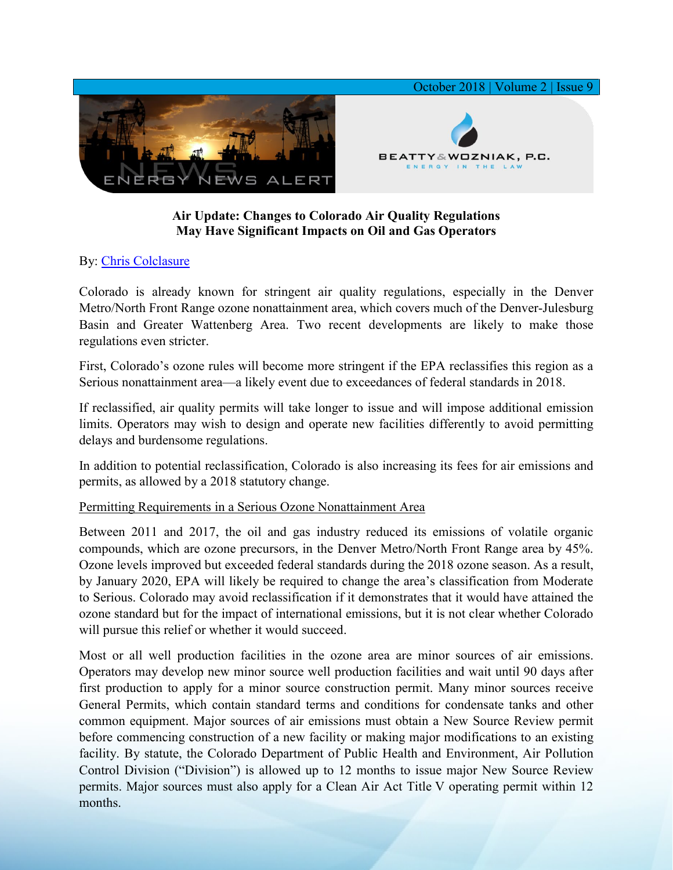

## **Air Update: Changes to Colorado Air Quality Regulations May Have Significant Impacts on Oil and Gas Operators**

## By: [Chris Colclasure](https://www.bwenergylaw.com/chris-colclasure)

Colorado is already known for stringent air quality regulations, especially in the Denver Metro/North Front Range ozone nonattainment area, which covers much of the Denver-Julesburg Basin and Greater Wattenberg Area. Two recent developments are likely to make those regulations even stricter.

First, Colorado's ozone rules will become more stringent if the EPA reclassifies this region as a Serious nonattainment area—a likely event due to exceedances of federal standards in 2018.

If reclassified, air quality permits will take longer to issue and will impose additional emission limits. Operators may wish to design and operate new facilities differently to avoid permitting delays and burdensome regulations.

In addition to potential reclassification, Colorado is also increasing its fees for air emissions and permits, as allowed by a 2018 statutory change.

## Permitting Requirements in a Serious Ozone Nonattainment Area

Between 2011 and 2017, the oil and gas industry reduced its emissions of volatile organic compounds, which are ozone precursors, in the Denver Metro/North Front Range area by 45%. Ozone levels improved but exceeded federal standards during the 2018 ozone season. As a result, by January 2020, EPA will likely be required to change the area's classification from Moderate to Serious. Colorado may avoid reclassification if it demonstrates that it would have attained the ozone standard but for the impact of international emissions, but it is not clear whether Colorado will pursue this relief or whether it would succeed.

Most or all well production facilities in the ozone area are minor sources of air emissions. Operators may develop new minor source well production facilities and wait until 90 days after first production to apply for a minor source construction permit. Many minor sources receive General Permits, which contain standard terms and conditions for condensate tanks and other common equipment. Major sources of air emissions must obtain a New Source Review permit before commencing construction of a new facility or making major modifications to an existing facility. By statute, the Colorado Department of Public Health and Environment, Air Pollution Control Division ("Division") is allowed up to 12 months to issue major New Source Review permits. Major sources must also apply for a Clean Air Act Title V operating permit within 12 months.